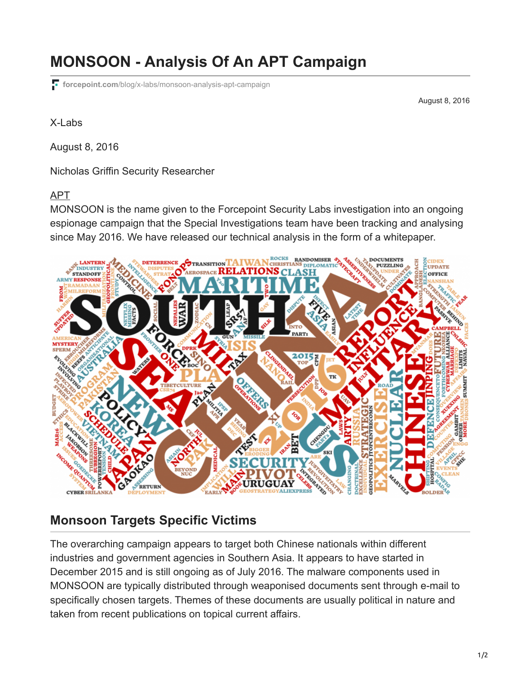# **MONSOON - Analysis Of An APT Campaign**

**forcepoint.com**[/blog/x-labs/monsoon-analysis-apt-campaign](https://www.forcepoint.com/blog/x-labs/monsoon-analysis-apt-campaign)

August 8, 2016

X-Labs

August 8, 2016

Nicholas Griffin Security Researcher

#### [APT](https://www.forcepoint.com/blog/tags/apt)

MONSOON is the name given to the Forcepoint Security Labs investigation into an ongoing espionage campaign that the Special Investigations team have been tracking and analysing since May 2016. We have released our technical analysis in the form of a whitepaper.



#### **Monsoon Targets Specific Victims**

The overarching campaign appears to target both Chinese nationals within different industries and government agencies in Southern Asia. It appears to have started in December 2015 and is still ongoing as of July 2016. The malware components used in MONSOON are typically distributed through weaponised documents sent through e-mail to specifically chosen targets. Themes of these documents are usually political in nature and taken from recent publications on topical current affairs.